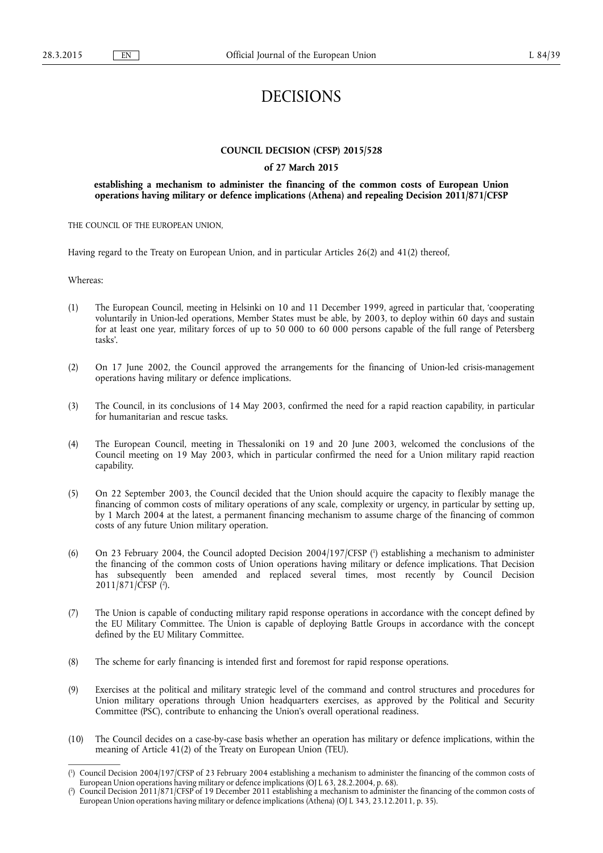# DECISIONS

# **COUNCIL DECISION (CFSP) 2015/528**

# **of 27 March 2015**

# **establishing a mechanism to administer the financing of the common costs of European Union operations having military or defence implications (Athena) and repealing Decision 2011/871/CFSP**

THE COUNCIL OF THE EUROPEAN UNION,

Having regard to the Treaty on European Union, and in particular Articles 26(2) and 41(2) thereof,

Whereas:

- (1) The European Council, meeting in Helsinki on 10 and 11 December 1999, agreed in particular that, 'cooperating voluntarily in Union-led operations, Member States must be able, by 2003, to deploy within 60 days and sustain for at least one year, military forces of up to 50 000 to 60 000 persons capable of the full range of Petersberg tasks'.
- (2) On 17 June 2002, the Council approved the arrangements for the financing of Union-led crisis-management operations having military or defence implications.
- (3) The Council, in its conclusions of 14 May 2003, confirmed the need for a rapid reaction capability, in particular for humanitarian and rescue tasks.
- (4) The European Council, meeting in Thessaloniki on 19 and 20 June 2003, welcomed the conclusions of the Council meeting on 19 May 2003, which in particular confirmed the need for a Union military rapid reaction capability.
- (5) On 22 September 2003, the Council decided that the Union should acquire the capacity to flexibly manage the financing of common costs of military operations of any scale, complexity or urgency, in particular by setting up, by 1 March 2004 at the latest, a permanent financing mechanism to assume charge of the financing of common costs of any future Union military operation.
- (6) On 23 February 2004, the Council adopted Decision 2004/197/CFSP ( 1 ) establishing a mechanism to administer the financing of the common costs of Union operations having military or defence implications. That Decision has subsequently been amended and replaced several times, most recently by Council Decision 2011/871/CFSP ( 2 ).
- (7) The Union is capable of conducting military rapid response operations in accordance with the concept defined by the EU Military Committee. The Union is capable of deploying Battle Groups in accordance with the concept defined by the EU Military Committee.
- (8) The scheme for early financing is intended first and foremost for rapid response operations.
- (9) Exercises at the political and military strategic level of the command and control structures and procedures for Union military operations through Union headquarters exercises, as approved by the Political and Security Committee (PSC), contribute to enhancing the Union's overall operational readiness.
- (10) The Council decides on a case-by-case basis whether an operation has military or defence implications, within the meaning of Article 41(2) of the Treaty on European Union (TEU).

<sup>(</sup> 1 ) Council Decision 2004/197/CFSP of 23 February 2004 establishing a mechanism to administer the financing of the common costs of European Union operations having military or defence implications (OJ L 63, 28.2.2004, p. 68).

<sup>(</sup> 2 ) Council Decision 2011/871/CFSP of 19 December 2011 establishing a mechanism to administer the financing of the common costs of European Union operations having military or defence implications (Athena) (OJ L 343, 23.12.2011, p. 35).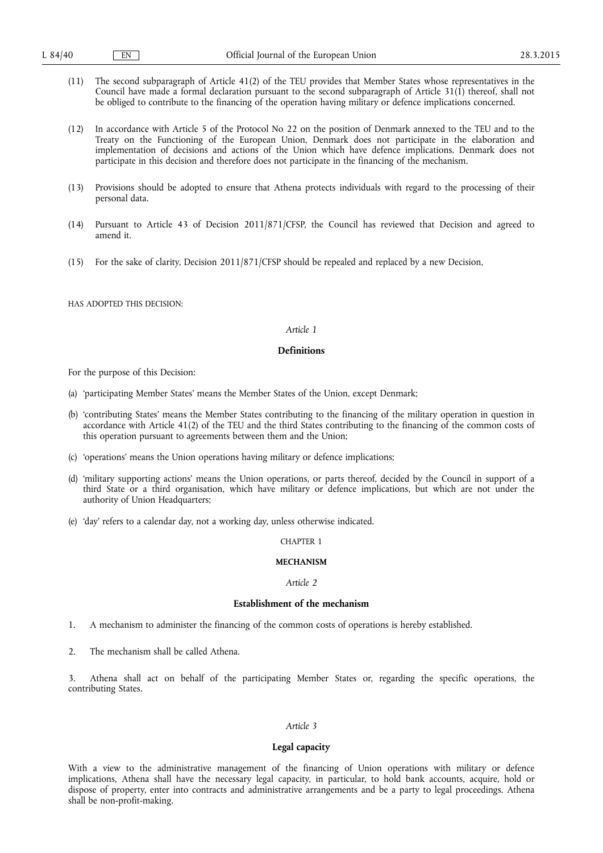- (11) The second subparagraph of Article 41(2) of the TEU provides that Member States whose representatives in the Council have made a formal declaration pursuant to the second subparagraph of Article 31(1) thereof, shall not be obliged to contribute to the financing of the operation having military or defence implications concerned.
- (12) In accordance with Article 5 of the Protocol No 22 on the position of Denmark annexed to the TEU and to the Treaty on the Functioning of the European Union, Denmark does not participate in the elaboration and implementation of decisions and actions of the Union which have defence implications. Denmark does not participate in this decision and therefore does not participate in the financing of the mechanism.
- (13) Provisions should be adopted to ensure that Athena protects individuals with regard to the processing of their personal data.
- (14) Pursuant to Article 43 of Decision 2011/871/CFSP, the Council has reviewed that Decision and agreed to amend it.
- (15) For the sake of clarity, Decision 2011/871/CFSP should be repealed and replaced by a new Decision,

HAS ADOPTED THIS DECISION:

### *Article 1*

# **Definitions**

For the purpose of this Decision:

- (a) 'participating Member States' means the Member States of the Union, except Denmark;
- (b) 'contributing States' means the Member States contributing to the financing of the military operation in question in accordance with Article 41(2) of the TEU and the third States contributing to the financing of the common costs of this operation pursuant to agreements between them and the Union;
- (c) 'operations' means the Union operations having military or defence implications;
- (d) 'military supporting actions' means the Union operations, or parts thereof, decided by the Council in support of a third State or a third organisation, which have military or defence implications, but which are not under the authority of Union Headquarters;
- (e) 'day' refers to a calendar day, not a working day, unless otherwise indicated.

### CHAPTER 1

### **MECHANISM**

#### *Article 2*

### **Establishment of the mechanism**

- 1. A mechanism to administer the financing of the common costs of operations is hereby established.
- 2. The mechanism shall be called Athena.

3. Athena shall act on behalf of the participating Member States or, regarding the specific operations, the contributing States.

# *Article 3*

#### **Legal capacity**

With a view to the administrative management of the financing of Union operations with military or defence implications, Athena shall have the necessary legal capacity, in particular, to hold bank accounts, acquire, hold or dispose of property, enter into contracts and administrative arrangements and be a party to legal proceedings. Athena shall be non-profit-making.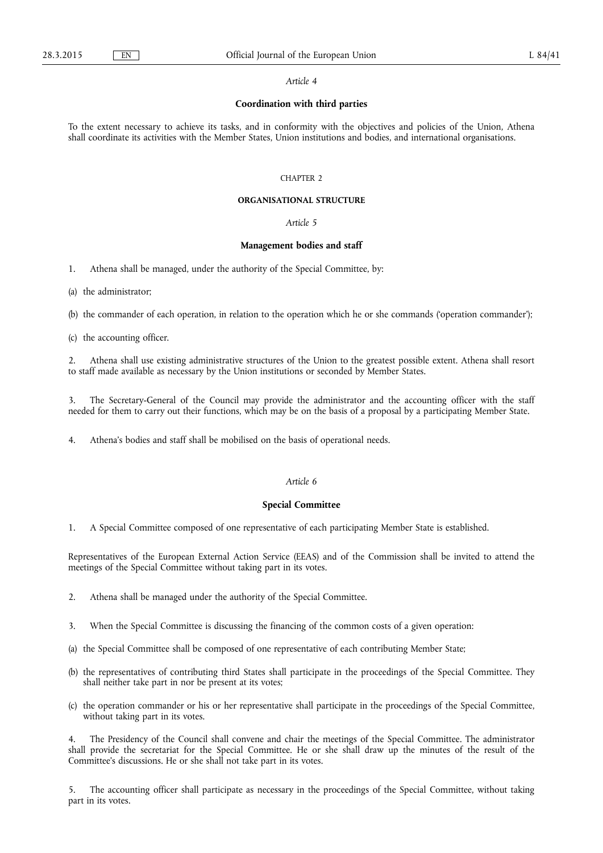### **Coordination with third parties**

To the extent necessary to achieve its tasks, and in conformity with the objectives and policies of the Union, Athena shall coordinate its activities with the Member States, Union institutions and bodies, and international organisations.

#### CHAPTER 2

### **ORGANISATIONAL STRUCTURE**

# *Article 5*

#### **Management bodies and staff**

1. Athena shall be managed, under the authority of the Special Committee, by:

(a) the administrator;

(b) the commander of each operation, in relation to the operation which he or she commands ('operation commander');

(c) the accounting officer.

2. Athena shall use existing administrative structures of the Union to the greatest possible extent. Athena shall resort to staff made available as necessary by the Union institutions or seconded by Member States.

3. The Secretary-General of the Council may provide the administrator and the accounting officer with the staff needed for them to carry out their functions, which may be on the basis of a proposal by a participating Member State.

4. Athena's bodies and staff shall be mobilised on the basis of operational needs.

# *Article 6*

#### **Special Committee**

1. A Special Committee composed of one representative of each participating Member State is established.

Representatives of the European External Action Service (EEAS) and of the Commission shall be invited to attend the meetings of the Special Committee without taking part in its votes.

2. Athena shall be managed under the authority of the Special Committee.

- 3. When the Special Committee is discussing the financing of the common costs of a given operation:
- (a) the Special Committee shall be composed of one representative of each contributing Member State;
- (b) the representatives of contributing third States shall participate in the proceedings of the Special Committee. They shall neither take part in nor be present at its votes;
- (c) the operation commander or his or her representative shall participate in the proceedings of the Special Committee, without taking part in its votes.

4. The Presidency of the Council shall convene and chair the meetings of the Special Committee. The administrator shall provide the secretariat for the Special Committee. He or she shall draw up the minutes of the result of the Committee's discussions. He or she shall not take part in its votes.

5. The accounting officer shall participate as necessary in the proceedings of the Special Committee, without taking part in its votes.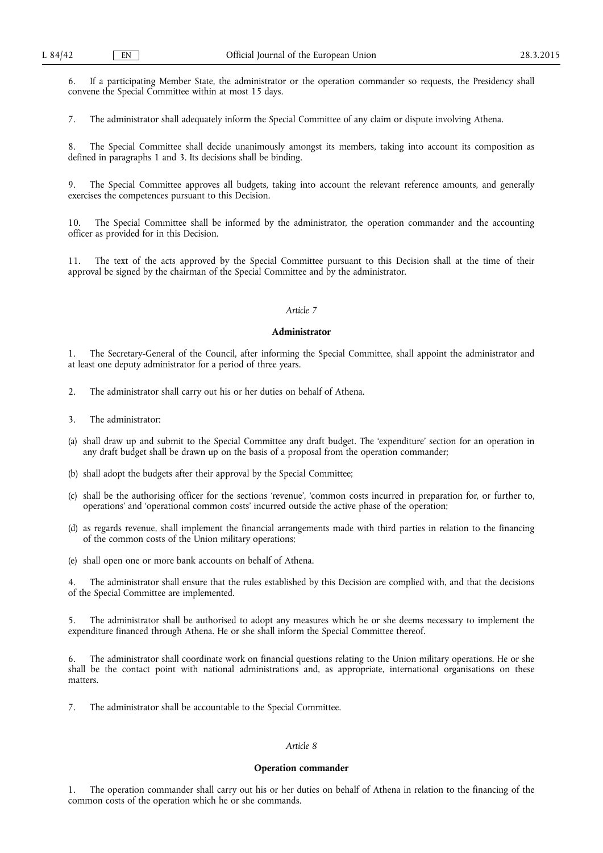6. If a participating Member State, the administrator or the operation commander so requests, the Presidency shall convene the Special Committee within at most 15 days.

7. The administrator shall adequately inform the Special Committee of any claim or dispute involving Athena.

The Special Committee shall decide unanimously amongst its members, taking into account its composition as defined in paragraphs 1 and 3. Its decisions shall be binding.

The Special Committee approves all budgets, taking into account the relevant reference amounts, and generally exercises the competences pursuant to this Decision.

10. The Special Committee shall be informed by the administrator, the operation commander and the accounting officer as provided for in this Decision.

11. The text of the acts approved by the Special Committee pursuant to this Decision shall at the time of their approval be signed by the chairman of the Special Committee and by the administrator.

# *Article 7*

#### **Administrator**

1. The Secretary-General of the Council, after informing the Special Committee, shall appoint the administrator and at least one deputy administrator for a period of three years.

- 2. The administrator shall carry out his or her duties on behalf of Athena.
- 3. The administrator:
- (a) shall draw up and submit to the Special Committee any draft budget. The 'expenditure' section for an operation in any draft budget shall be drawn up on the basis of a proposal from the operation commander;
- (b) shall adopt the budgets after their approval by the Special Committee;
- (c) shall be the authorising officer for the sections 'revenue', 'common costs incurred in preparation for, or further to, operations' and 'operational common costs' incurred outside the active phase of the operation;
- (d) as regards revenue, shall implement the financial arrangements made with third parties in relation to the financing of the common costs of the Union military operations;
- (e) shall open one or more bank accounts on behalf of Athena.

The administrator shall ensure that the rules established by this Decision are complied with, and that the decisions of the Special Committee are implemented.

5. The administrator shall be authorised to adopt any measures which he or she deems necessary to implement the expenditure financed through Athena. He or she shall inform the Special Committee thereof.

The administrator shall coordinate work on financial questions relating to the Union military operations. He or she shall be the contact point with national administrations and, as appropriate, international organisations on these matters.

7. The administrator shall be accountable to the Special Committee.

### *Article 8*

#### **Operation commander**

1. The operation commander shall carry out his or her duties on behalf of Athena in relation to the financing of the common costs of the operation which he or she commands.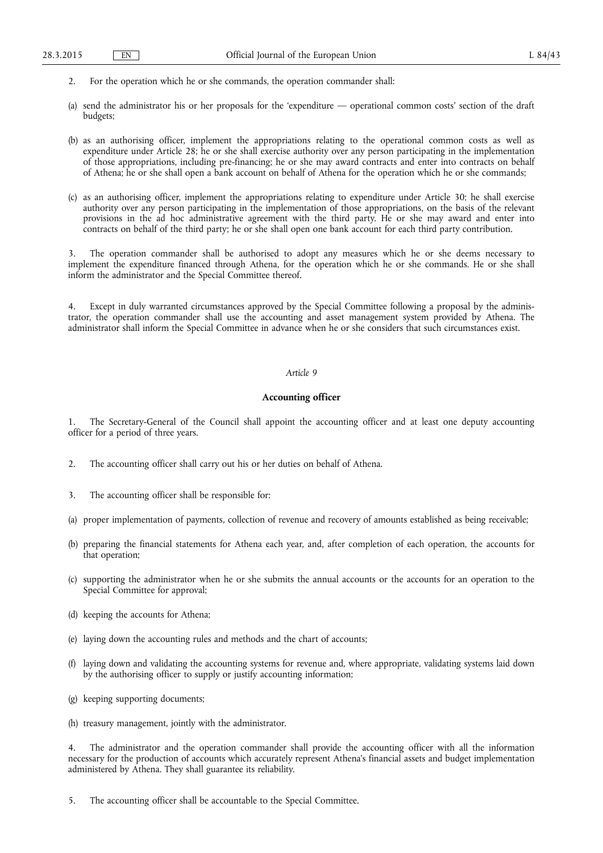- 2. For the operation which he or she commands, the operation commander shall:
- (a) send the administrator his or her proposals for the 'expenditure operational common costs' section of the draft budgets;
- (b) as an authorising officer, implement the appropriations relating to the operational common costs as well as expenditure under Article 28; he or she shall exercise authority over any person participating in the implementation of those appropriations, including pre-financing; he or she may award contracts and enter into contracts on behalf of Athena; he or she shall open a bank account on behalf of Athena for the operation which he or she commands;
- (c) as an authorising officer, implement the appropriations relating to expenditure under Article 30; he shall exercise authority over any person participating in the implementation of those appropriations, on the basis of the relevant provisions in the ad hoc administrative agreement with the third party. He or she may award and enter into contracts on behalf of the third party; he or she shall open one bank account for each third party contribution.

The operation commander shall be authorised to adopt any measures which he or she deems necessary to implement the expenditure financed through Athena, for the operation which he or she commands. He or she shall inform the administrator and the Special Committee thereof.

4. Except in duly warranted circumstances approved by the Special Committee following a proposal by the administrator, the operation commander shall use the accounting and asset management system provided by Athena. The administrator shall inform the Special Committee in advance when he or she considers that such circumstances exist.

# *Article 9*

### **Accounting officer**

1. The Secretary-General of the Council shall appoint the accounting officer and at least one deputy accounting officer for a period of three years.

- 2. The accounting officer shall carry out his or her duties on behalf of Athena.
- 3. The accounting officer shall be responsible for:
- (a) proper implementation of payments, collection of revenue and recovery of amounts established as being receivable;
- (b) preparing the financial statements for Athena each year, and, after completion of each operation, the accounts for that operation;
- (c) supporting the administrator when he or she submits the annual accounts or the accounts for an operation to the Special Committee for approval;
- (d) keeping the accounts for Athena;
- (e) laying down the accounting rules and methods and the chart of accounts;
- (f) laying down and validating the accounting systems for revenue and, where appropriate, validating systems laid down by the authorising officer to supply or justify accounting information;
- (g) keeping supporting documents;
- (h) treasury management, jointly with the administrator.

The administrator and the operation commander shall provide the accounting officer with all the information necessary for the production of accounts which accurately represent Athena's financial assets and budget implementation administered by Athena. They shall guarantee its reliability.

5. The accounting officer shall be accountable to the Special Committee.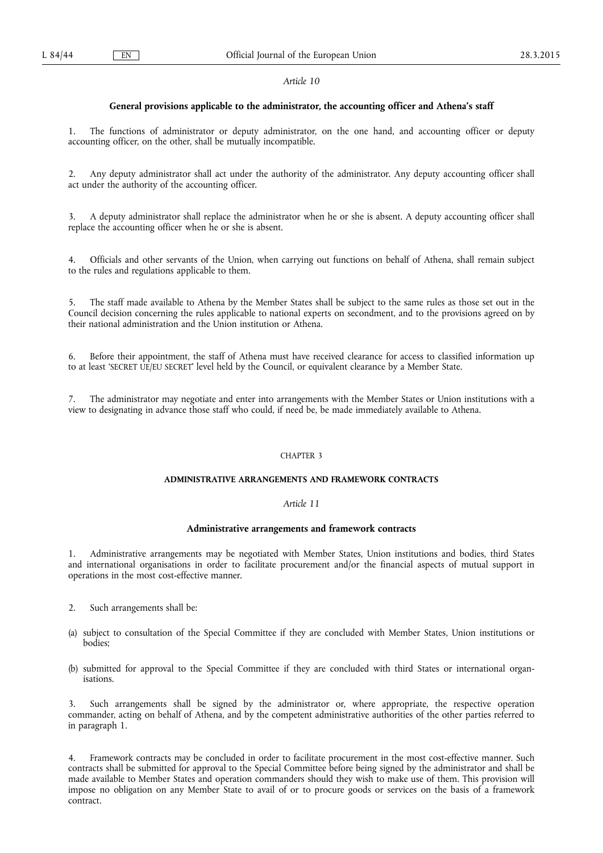### **General provisions applicable to the administrator, the accounting officer and Athena's staff**

1. The functions of administrator or deputy administrator, on the one hand, and accounting officer or deputy accounting officer, on the other, shall be mutually incompatible.

2. Any deputy administrator shall act under the authority of the administrator. Any deputy accounting officer shall act under the authority of the accounting officer.

3. A deputy administrator shall replace the administrator when he or she is absent. A deputy accounting officer shall replace the accounting officer when he or she is absent.

4. Officials and other servants of the Union, when carrying out functions on behalf of Athena, shall remain subject to the rules and regulations applicable to them.

5. The staff made available to Athena by the Member States shall be subject to the same rules as those set out in the Council decision concerning the rules applicable to national experts on secondment, and to the provisions agreed on by their national administration and the Union institution or Athena.

6. Before their appointment, the staff of Athena must have received clearance for access to classified information up to at least 'SECRET UE/EU SECRET' level held by the Council, or equivalent clearance by a Member State.

7. The administrator may negotiate and enter into arrangements with the Member States or Union institutions with a view to designating in advance those staff who could, if need be, be made immediately available to Athena.

#### CHAPTER 3

#### **ADMINISTRATIVE ARRANGEMENTS AND FRAMEWORK CONTRACTS**

# *Article 11*

### **Administrative arrangements and framework contracts**

1. Administrative arrangements may be negotiated with Member States, Union institutions and bodies, third States and international organisations in order to facilitate procurement and/or the financial aspects of mutual support in operations in the most cost-effective manner.

- 2. Such arrangements shall be:
- (a) subject to consultation of the Special Committee if they are concluded with Member States, Union institutions or bodies;
- (b) submitted for approval to the Special Committee if they are concluded with third States or international organisations.

Such arrangements shall be signed by the administrator or, where appropriate, the respective operation commander, acting on behalf of Athena, and by the competent administrative authorities of the other parties referred to in paragraph 1.

4. Framework contracts may be concluded in order to facilitate procurement in the most cost-effective manner. Such contracts shall be submitted for approval to the Special Committee before being signed by the administrator and shall be made available to Member States and operation commanders should they wish to make use of them. This provision will impose no obligation on any Member State to avail of or to procure goods or services on the basis of a framework contract.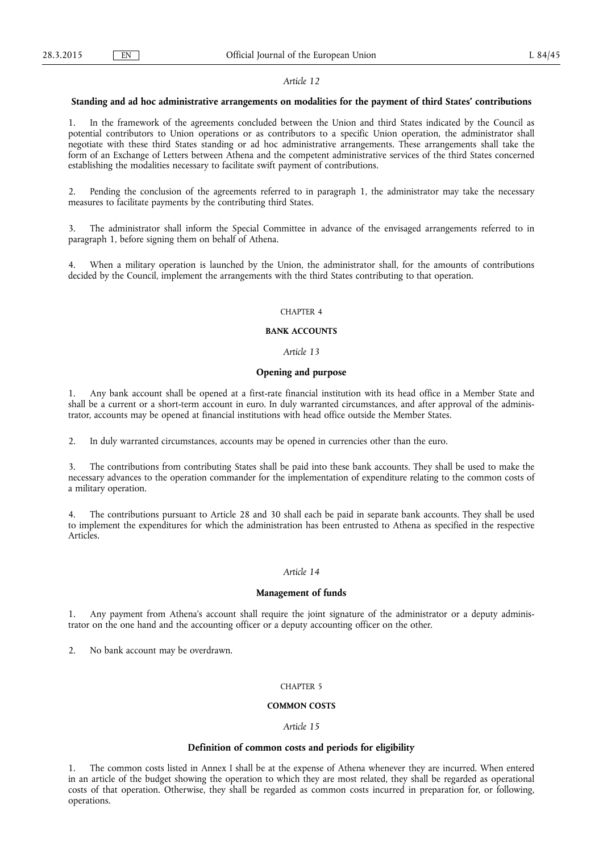#### **Standing and ad hoc administrative arrangements on modalities for the payment of third States' contributions**

1. In the framework of the agreements concluded between the Union and third States indicated by the Council as potential contributors to Union operations or as contributors to a specific Union operation, the administrator shall negotiate with these third States standing or ad hoc administrative arrangements. These arrangements shall take the form of an Exchange of Letters between Athena and the competent administrative services of the third States concerned establishing the modalities necessary to facilitate swift payment of contributions.

2. Pending the conclusion of the agreements referred to in paragraph 1, the administrator may take the necessary measures to facilitate payments by the contributing third States.

3. The administrator shall inform the Special Committee in advance of the envisaged arrangements referred to in paragraph 1, before signing them on behalf of Athena.

When a military operation is launched by the Union, the administrator shall, for the amounts of contributions decided by the Council, implement the arrangements with the third States contributing to that operation.

### CHAPTER 4

#### **BANK ACCOUNTS**

#### *Article 13*

# **Opening and purpose**

1. Any bank account shall be opened at a first-rate financial institution with its head office in a Member State and shall be a current or a short-term account in euro. In duly warranted circumstances, and after approval of the administrator, accounts may be opened at financial institutions with head office outside the Member States.

2. In duly warranted circumstances, accounts may be opened in currencies other than the euro.

3. The contributions from contributing States shall be paid into these bank accounts. They shall be used to make the necessary advances to the operation commander for the implementation of expenditure relating to the common costs of a military operation.

4. The contributions pursuant to Article 28 and 30 shall each be paid in separate bank accounts. They shall be used to implement the expenditures for which the administration has been entrusted to Athena as specified in the respective Articles.

# *Article 14*

#### **Management of funds**

1. Any payment from Athena's account shall require the joint signature of the administrator or a deputy administrator on the one hand and the accounting officer or a deputy accounting officer on the other.

2. No bank account may be overdrawn.

#### CHAPTER 5

### **COMMON COSTS**

#### *Article 15*

### **Definition of common costs and periods for eligibility**

1. The common costs listed in Annex I shall be at the expense of Athena whenever they are incurred. When entered in an article of the budget showing the operation to which they are most related, they shall be regarded as operational costs of that operation. Otherwise, they shall be regarded as common costs incurred in preparation for, or following, operations.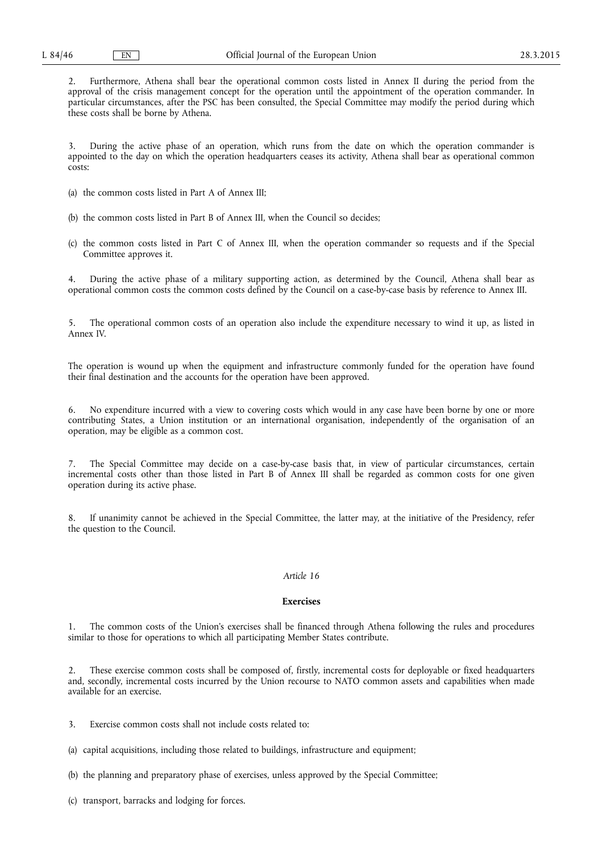2. Furthermore, Athena shall bear the operational common costs listed in Annex II during the period from the approval of the crisis management concept for the operation until the appointment of the operation commander. In particular circumstances, after the PSC has been consulted, the Special Committee may modify the period during which these costs shall be borne by Athena.

3. During the active phase of an operation, which runs from the date on which the operation commander is appointed to the day on which the operation headquarters ceases its activity, Athena shall bear as operational common costs:

- (a) the common costs listed in Part A of Annex III;
- (b) the common costs listed in Part B of Annex III, when the Council so decides;
- (c) the common costs listed in Part C of Annex III, when the operation commander so requests and if the Special Committee approves it.

4. During the active phase of a military supporting action, as determined by the Council, Athena shall bear as operational common costs the common costs defined by the Council on a case-by-case basis by reference to Annex III.

5. The operational common costs of an operation also include the expenditure necessary to wind it up, as listed in Annex IV.

The operation is wound up when the equipment and infrastructure commonly funded for the operation have found their final destination and the accounts for the operation have been approved.

6. No expenditure incurred with a view to covering costs which would in any case have been borne by one or more contributing States, a Union institution or an international organisation, independently of the organisation of an operation, may be eligible as a common cost.

7. The Special Committee may decide on a case-by-case basis that, in view of particular circumstances, certain incremental costs other than those listed in Part B of Annex III shall be regarded as common costs for one given operation during its active phase.

8. If unanimity cannot be achieved in the Special Committee, the latter may, at the initiative of the Presidency, refer the question to the Council.

# *Article 16*

#### **Exercises**

1. The common costs of the Union's exercises shall be financed through Athena following the rules and procedures similar to those for operations to which all participating Member States contribute.

2. These exercise common costs shall be composed of, firstly, incremental costs for deployable or fixed headquarters and, secondly, incremental costs incurred by the Union recourse to NATO common assets and capabilities when made available for an exercise.

3. Exercise common costs shall not include costs related to:

(a) capital acquisitions, including those related to buildings, infrastructure and equipment;

- (b) the planning and preparatory phase of exercises, unless approved by the Special Committee;
- (c) transport, barracks and lodging for forces.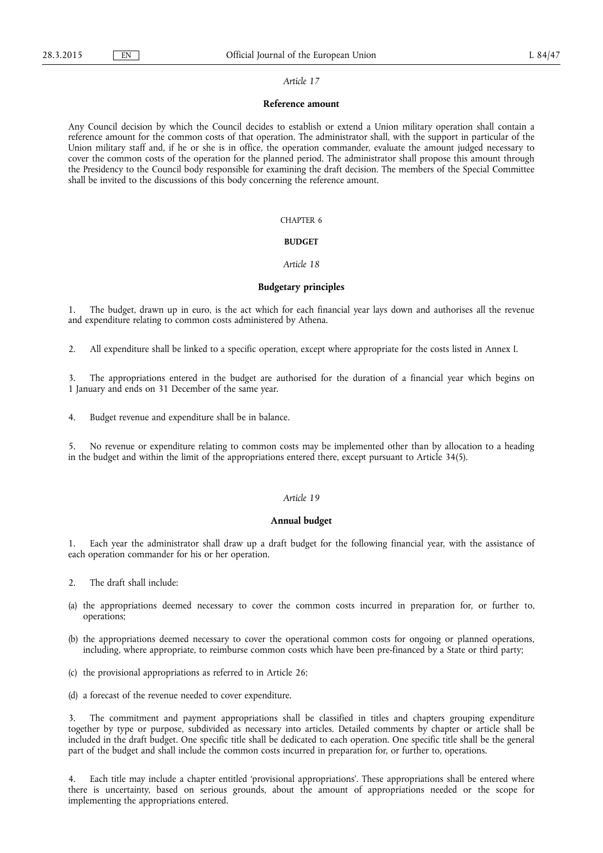#### **Reference amount**

Any Council decision by which the Council decides to establish or extend a Union military operation shall contain a reference amount for the common costs of that operation. The administrator shall, with the support in particular of the Union military staff and, if he or she is in office, the operation commander, evaluate the amount judged necessary to cover the common costs of the operation for the planned period. The administrator shall propose this amount through the Presidency to the Council body responsible for examining the draft decision. The members of the Special Committee shall be invited to the discussions of this body concerning the reference amount.

#### CHAPTER 6

#### **BUDGET**

### *Article 18*

#### **Budgetary principles**

The budget, drawn up in euro, is the act which for each financial year lays down and authorises all the revenue and expenditure relating to common costs administered by Athena.

2. All expenditure shall be linked to a specific operation, except where appropriate for the costs listed in Annex I.

3. The appropriations entered in the budget are authorised for the duration of a financial year which begins on 1 January and ends on 31 December of the same year.

4. Budget revenue and expenditure shall be in balance.

5. No revenue or expenditure relating to common costs may be implemented other than by allocation to a heading in the budget and within the limit of the appropriations entered there, except pursuant to Article 34(5).

#### *Article 19*

### **Annual budget**

1. Each year the administrator shall draw up a draft budget for the following financial year, with the assistance of each operation commander for his or her operation.

- 2. The draft shall include:
- (a) the appropriations deemed necessary to cover the common costs incurred in preparation for, or further to, operations;
- (b) the appropriations deemed necessary to cover the operational common costs for ongoing or planned operations, including, where appropriate, to reimburse common costs which have been pre-financed by a State or third party;
- (c) the provisional appropriations as referred to in Article 26;
- (d) a forecast of the revenue needed to cover expenditure.

3. The commitment and payment appropriations shall be classified in titles and chapters grouping expenditure together by type or purpose, subdivided as necessary into articles. Detailed comments by chapter or article shall be included in the draft budget. One specific title shall be dedicated to each operation. One specific title shall be the general part of the budget and shall include the common costs incurred in preparation for, or further to, operations.

4. Each title may include a chapter entitled 'provisional appropriations'. These appropriations shall be entered where there is uncertainty, based on serious grounds, about the amount of appropriations needed or the scope for implementing the appropriations entered.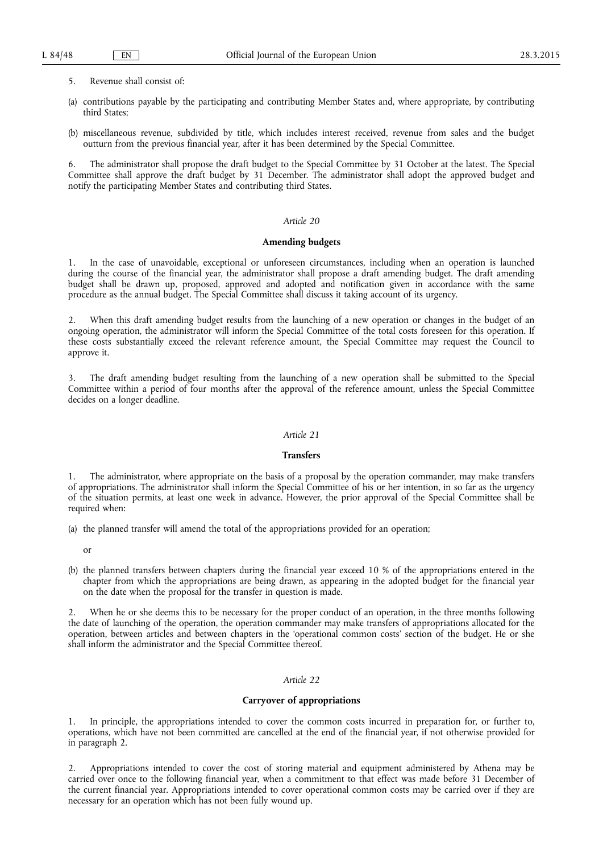- 5. Revenue shall consist of:
- (a) contributions payable by the participating and contributing Member States and, where appropriate, by contributing third States;
- (b) miscellaneous revenue, subdivided by title, which includes interest received, revenue from sales and the budget outturn from the previous financial year, after it has been determined by the Special Committee.

6. The administrator shall propose the draft budget to the Special Committee by 31 October at the latest. The Special Committee shall approve the draft budget by 31 December. The administrator shall adopt the approved budget and notify the participating Member States and contributing third States.

# *Article 20*

# **Amending budgets**

1. In the case of unavoidable, exceptional or unforeseen circumstances, including when an operation is launched during the course of the financial year, the administrator shall propose a draft amending budget. The draft amending budget shall be drawn up, proposed, approved and adopted and notification given in accordance with the same procedure as the annual budget. The Special Committee shall discuss it taking account of its urgency.

2. When this draft amending budget results from the launching of a new operation or changes in the budget of an ongoing operation, the administrator will inform the Special Committee of the total costs foreseen for this operation. If these costs substantially exceed the relevant reference amount, the Special Committee may request the Council to approve it.

3. The draft amending budget resulting from the launching of a new operation shall be submitted to the Special Committee within a period of four months after the approval of the reference amount, unless the Special Committee decides on a longer deadline.

### *Article 21*

#### **Transfers**

1. The administrator, where appropriate on the basis of a proposal by the operation commander, may make transfers of appropriations. The administrator shall inform the Special Committee of his or her intention, in so far as the urgency of the situation permits, at least one week in advance. However, the prior approval of the Special Committee shall be required when:

- (a) the planned transfer will amend the total of the appropriations provided for an operation;
	- or
- (b) the planned transfers between chapters during the financial year exceed 10 % of the appropriations entered in the chapter from which the appropriations are being drawn, as appearing in the adopted budget for the financial year on the date when the proposal for the transfer in question is made.

When he or she deems this to be necessary for the proper conduct of an operation, in the three months following the date of launching of the operation, the operation commander may make transfers of appropriations allocated for the operation, between articles and between chapters in the 'operational common costs' section of the budget. He or she shall inform the administrator and the Special Committee thereof.

# *Article 22*

#### **Carryover of appropriations**

In principle, the appropriations intended to cover the common costs incurred in preparation for, or further to, operations, which have not been committed are cancelled at the end of the financial year, if not otherwise provided for in paragraph 2.

2. Appropriations intended to cover the cost of storing material and equipment administered by Athena may be carried over once to the following financial year, when a commitment to that effect was made before 31 December of the current financial year. Appropriations intended to cover operational common costs may be carried over if they are necessary for an operation which has not been fully wound up.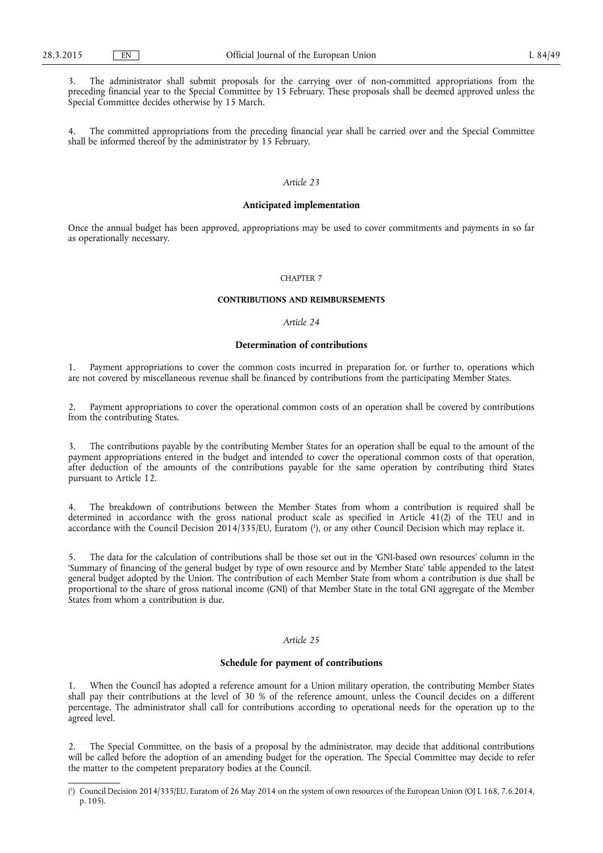3. The administrator shall submit proposals for the carrying over of non-committed appropriations from the preceding financial year to the Special Committee by 15 February. These proposals shall be deemed approved unless the Special Committee decides otherwise by 15 March.

4. The committed appropriations from the preceding financial year shall be carried over and the Special Committee shall be informed thereof by the administrator by 15 February.

# *Article 23*

# **Anticipated implementation**

Once the annual budget has been approved, appropriations may be used to cover commitments and payments in so far as operationally necessary.

#### CHAPTER 7

### **CONTRIBUTIONS AND REIMBURSEMENTS**

# *Article 24*

#### **Determination of contributions**

Payment appropriations to cover the common costs incurred in preparation for, or further to, operations which are not covered by miscellaneous revenue shall be financed by contributions from the participating Member States.

2. Payment appropriations to cover the operational common costs of an operation shall be covered by contributions from the contributing States.

3. The contributions payable by the contributing Member States for an operation shall be equal to the amount of the payment appropriations entered in the budget and intended to cover the operational common costs of that operation, after deduction of the amounts of the contributions payable for the same operation by contributing third States pursuant to Article 12.

4. The breakdown of contributions between the Member States from whom a contribution is required shall be determined in accordance with the gross national product scale as specified in Article 41(2) of the TEU and in accordance with the Council Decision 2014/335/EU, Euratom (<sup>1</sup>), or any other Council Decision which may replace it.

5. The data for the calculation of contributions shall be those set out in the 'GNI-based own resources' column in the 'Summary of financing of the general budget by type of own resource and by Member State' table appended to the latest general budget adopted by the Union. The contribution of each Member State from whom a contribution is due shall be proportional to the share of gross national income (GNI) of that Member State in the total GNI aggregate of the Member States from whom a contribution is due.

# *Article 25*

# **Schedule for payment of contributions**

1. When the Council has adopted a reference amount for a Union military operation, the contributing Member States shall pay their contributions at the level of 30 % of the reference amount, unless the Council decides on a different percentage. The administrator shall call for contributions according to operational needs for the operation up to the agreed level.

2. The Special Committee, on the basis of a proposal by the administrator, may decide that additional contributions will be called before the adoption of an amending budget for the operation. The Special Committee may decide to refer the matter to the competent preparatory bodies at the Council.

<sup>(</sup> 1 ) Council Decision 2014/335/EU, Euratom of 26 May 2014 on the system of own resources of the European Union (OJ L 168, 7.6.2014, p. 105).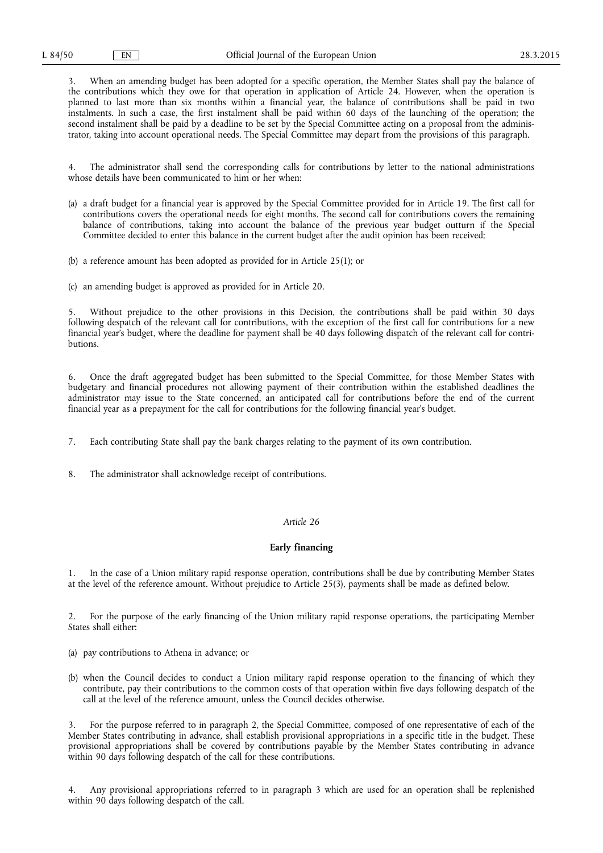3. When an amending budget has been adopted for a specific operation, the Member States shall pay the balance of the contributions which they owe for that operation in application of Article 24. However, when the operation is planned to last more than six months within a financial year, the balance of contributions shall be paid in two instalments. In such a case, the first instalment shall be paid within 60 days of the launching of the operation; the second instalment shall be paid by a deadline to be set by the Special Committee acting on a proposal from the administrator, taking into account operational needs. The Special Committee may depart from the provisions of this paragraph.

4. The administrator shall send the corresponding calls for contributions by letter to the national administrations whose details have been communicated to him or her when:

- (a) a draft budget for a financial year is approved by the Special Committee provided for in Article 19. The first call for contributions covers the operational needs for eight months. The second call for contributions covers the remaining balance of contributions, taking into account the balance of the previous year budget outturn if the Special Committee decided to enter this balance in the current budget after the audit opinion has been received;
- (b) a reference amount has been adopted as provided for in Article 25(1); or

(c) an amending budget is approved as provided for in Article 20.

5. Without prejudice to the other provisions in this Decision, the contributions shall be paid within 30 days following despatch of the relevant call for contributions, with the exception of the first call for contributions for a new financial year's budget, where the deadline for payment shall be 40 days following dispatch of the relevant call for contributions.

6. Once the draft aggregated budget has been submitted to the Special Committee, for those Member States with budgetary and financial procedures not allowing payment of their contribution within the established deadlines the administrator may issue to the State concerned, an anticipated call for contributions before the end of the current financial year as a prepayment for the call for contributions for the following financial year's budget.

- 7. Each contributing State shall pay the bank charges relating to the payment of its own contribution.
- 8. The administrator shall acknowledge receipt of contributions.

### *Article 26*

### **Early financing**

1. In the case of a Union military rapid response operation, contributions shall be due by contributing Member States at the level of the reference amount. Without prejudice to Article 25(3), payments shall be made as defined below.

2. For the purpose of the early financing of the Union military rapid response operations, the participating Member States shall either:

- (a) pay contributions to Athena in advance; or
- (b) when the Council decides to conduct a Union military rapid response operation to the financing of which they contribute, pay their contributions to the common costs of that operation within five days following despatch of the call at the level of the reference amount, unless the Council decides otherwise.

3. For the purpose referred to in paragraph 2, the Special Committee, composed of one representative of each of the Member States contributing in advance, shall establish provisional appropriations in a specific title in the budget. These provisional appropriations shall be covered by contributions payable by the Member States contributing in advance within 90 days following despatch of the call for these contributions.

4. Any provisional appropriations referred to in paragraph 3 which are used for an operation shall be replenished within 90 days following despatch of the call.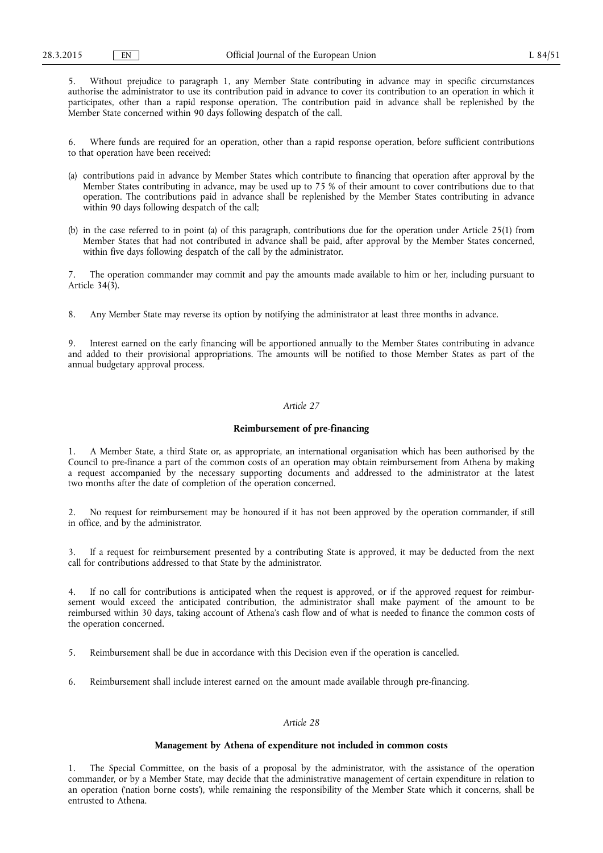5. Without prejudice to paragraph 1, any Member State contributing in advance may in specific circumstances authorise the administrator to use its contribution paid in advance to cover its contribution to an operation in which it participates, other than a rapid response operation. The contribution paid in advance shall be replenished by the Member State concerned within 90 days following despatch of the call.

6. Where funds are required for an operation, other than a rapid response operation, before sufficient contributions to that operation have been received:

- (a) contributions paid in advance by Member States which contribute to financing that operation after approval by the Member States contributing in advance, may be used up to 75 % of their amount to cover contributions due to that operation. The contributions paid in advance shall be replenished by the Member States contributing in advance within 90 days following despatch of the call;
- (b) in the case referred to in point (a) of this paragraph, contributions due for the operation under Article 25(1) from Member States that had not contributed in advance shall be paid, after approval by the Member States concerned, within five days following despatch of the call by the administrator.

7. The operation commander may commit and pay the amounts made available to him or her, including pursuant to Article 34(3).

8. Any Member State may reverse its option by notifying the administrator at least three months in advance.

9. Interest earned on the early financing will be apportioned annually to the Member States contributing in advance and added to their provisional appropriations. The amounts will be notified to those Member States as part of the annual budgetary approval process.

### *Article 27*

# **Reimbursement of pre-financing**

1. A Member State, a third State or, as appropriate, an international organisation which has been authorised by the Council to pre-finance a part of the common costs of an operation may obtain reimbursement from Athena by making a request accompanied by the necessary supporting documents and addressed to the administrator at the latest two months after the date of completion of the operation concerned.

2. No request for reimbursement may be honoured if it has not been approved by the operation commander, if still in office, and by the administrator.

3. If a request for reimbursement presented by a contributing State is approved, it may be deducted from the next call for contributions addressed to that State by the administrator.

4. If no call for contributions is anticipated when the request is approved, or if the approved request for reimbursement would exceed the anticipated contribution, the administrator shall make payment of the amount to be reimbursed within 30 days, taking account of Athena's cash flow and of what is needed to finance the common costs of the operation concerned.

5. Reimbursement shall be due in accordance with this Decision even if the operation is cancelled.

6. Reimbursement shall include interest earned on the amount made available through pre-financing.

# *Article 28*

# **Management by Athena of expenditure not included in common costs**

1. The Special Committee, on the basis of a proposal by the administrator, with the assistance of the operation commander, or by a Member State, may decide that the administrative management of certain expenditure in relation to an operation ('nation borne costs'), while remaining the responsibility of the Member State which it concerns, shall be entrusted to Athena.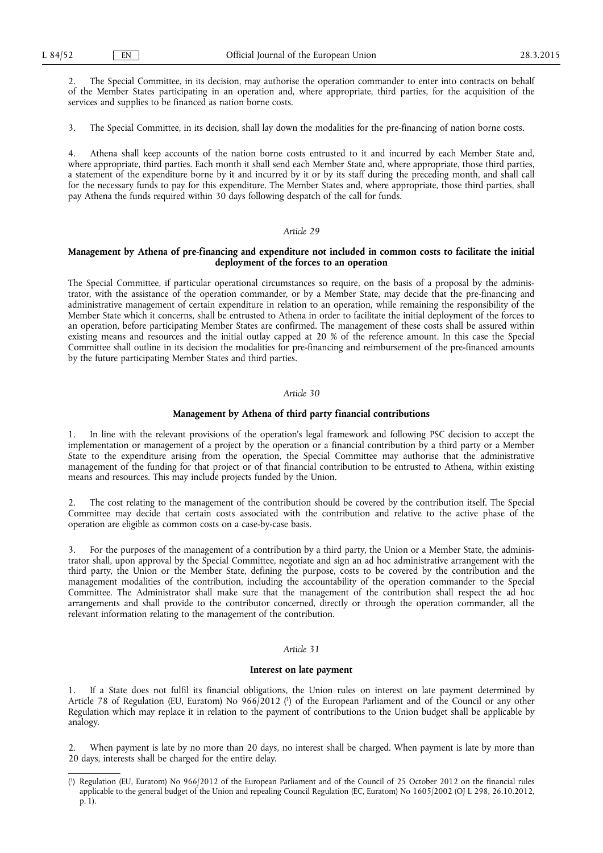2. The Special Committee, in its decision, may authorise the operation commander to enter into contracts on behalf of the Member States participating in an operation and, where appropriate, third parties, for the acquisition of the services and supplies to be financed as nation borne costs.

3. The Special Committee, in its decision, shall lay down the modalities for the pre-financing of nation borne costs.

4. Athena shall keep accounts of the nation borne costs entrusted to it and incurred by each Member State and, where appropriate, third parties. Each month it shall send each Member State and, where appropriate, those third parties, a statement of the expenditure borne by it and incurred by it or by its staff during the preceding month, and shall call for the necessary funds to pay for this expenditure. The Member States and, where appropriate, those third parties, shall pay Athena the funds required within 30 days following despatch of the call for funds.

#### *Article 29*

### **Management by Athena of pre-financing and expenditure not included in common costs to facilitate the initial deployment of the forces to an operation**

The Special Committee, if particular operational circumstances so require, on the basis of a proposal by the administrator, with the assistance of the operation commander, or by a Member State, may decide that the pre-financing and administrative management of certain expenditure in relation to an operation, while remaining the responsibility of the Member State which it concerns, shall be entrusted to Athena in order to facilitate the initial deployment of the forces to an operation, before participating Member States are confirmed. The management of these costs shall be assured within existing means and resources and the initial outlay capped at 20 % of the reference amount. In this case the Special Committee shall outline in its decision the modalities for pre-financing and reimbursement of the pre-financed amounts by the future participating Member States and third parties.

## *Article 30*

### **Management by Athena of third party financial contributions**

1. In line with the relevant provisions of the operation's legal framework and following PSC decision to accept the implementation or management of a project by the operation or a financial contribution by a third party or a Member State to the expenditure arising from the operation, the Special Committee may authorise that the administrative management of the funding for that project or of that financial contribution to be entrusted to Athena, within existing means and resources. This may include projects funded by the Union.

2. The cost relating to the management of the contribution should be covered by the contribution itself. The Special Committee may decide that certain costs associated with the contribution and relative to the active phase of the operation are eligible as common costs on a case-by-case basis.

3. For the purposes of the management of a contribution by a third party, the Union or a Member State, the administrator shall, upon approval by the Special Committee, negotiate and sign an ad hoc administrative arrangement with the third party, the Union or the Member State, defining the purpose, costs to be covered by the contribution and the management modalities of the contribution, including the accountability of the operation commander to the Special Committee. The Administrator shall make sure that the management of the contribution shall respect the ad hoc arrangements and shall provide to the contributor concerned, directly or through the operation commander, all the relevant information relating to the management of the contribution.

# *Article 31*

# **Interest on late payment**

1. If a State does not fulfil its financial obligations, the Union rules on interest on late payment determined by Article 78 of Regulation (EU, Euratom) No 966/2012 ( 1 ) of the European Parliament and of the Council or any other Regulation which may replace it in relation to the payment of contributions to the Union budget shall be applicable by analogy.

When payment is late by no more than 20 days, no interest shall be charged. When payment is late by more than 20 days, interests shall be charged for the entire delay.

<sup>(</sup> 1 ) Regulation (EU, Euratom) No 966/2012 of the European Parliament and of the Council of 25 October 2012 on the financial rules applicable to the general budget of the Union and repealing Council Regulation (EC, Euratom) No 1605/2002 (OJ L 298, 26.10.2012, p. 1).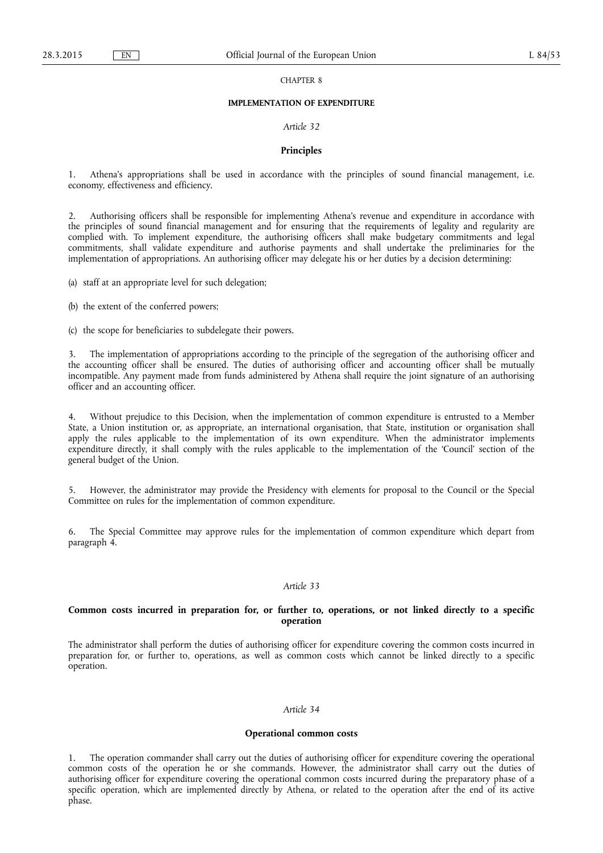### CHAPTER 8

#### **IMPLEMENTATION OF EXPENDITURE**

### *Article 32*

#### **Principles**

1. Athena's appropriations shall be used in accordance with the principles of sound financial management, i.e. economy, effectiveness and efficiency.

2. Authorising officers shall be responsible for implementing Athena's revenue and expenditure in accordance with the principles of sound financial management and for ensuring that the requirements of legality and regularity are complied with. To implement expenditure, the authorising officers shall make budgetary commitments and legal commitments, shall validate expenditure and authorise payments and shall undertake the preliminaries for the implementation of appropriations. An authorising officer may delegate his or her duties by a decision determining:

(a) staff at an appropriate level for such delegation;

(b) the extent of the conferred powers;

(c) the scope for beneficiaries to subdelegate their powers.

3. The implementation of appropriations according to the principle of the segregation of the authorising officer and the accounting officer shall be ensured. The duties of authorising officer and accounting officer shall be mutually incompatible. Any payment made from funds administered by Athena shall require the joint signature of an authorising officer and an accounting officer.

4. Without prejudice to this Decision, when the implementation of common expenditure is entrusted to a Member State, a Union institution or, as appropriate, an international organisation, that State, institution or organisation shall apply the rules applicable to the implementation of its own expenditure. When the administrator implements expenditure directly, it shall comply with the rules applicable to the implementation of the 'Council' section of the general budget of the Union.

5. However, the administrator may provide the Presidency with elements for proposal to the Council or the Special Committee on rules for the implementation of common expenditure.

6. The Special Committee may approve rules for the implementation of common expenditure which depart from paragraph 4.

### *Article 33*

# **Common costs incurred in preparation for, or further to, operations, or not linked directly to a specific operation**

The administrator shall perform the duties of authorising officer for expenditure covering the common costs incurred in preparation for, or further to, operations, as well as common costs which cannot be linked directly to a specific operation.

#### *Article 34*

#### **Operational common costs**

1. The operation commander shall carry out the duties of authorising officer for expenditure covering the operational common costs of the operation he or she commands. However, the administrator shall carry out the duties of authorising officer for expenditure covering the operational common costs incurred during the preparatory phase of a specific operation, which are implemented directly by Athena, or related to the operation after the end of its active phase.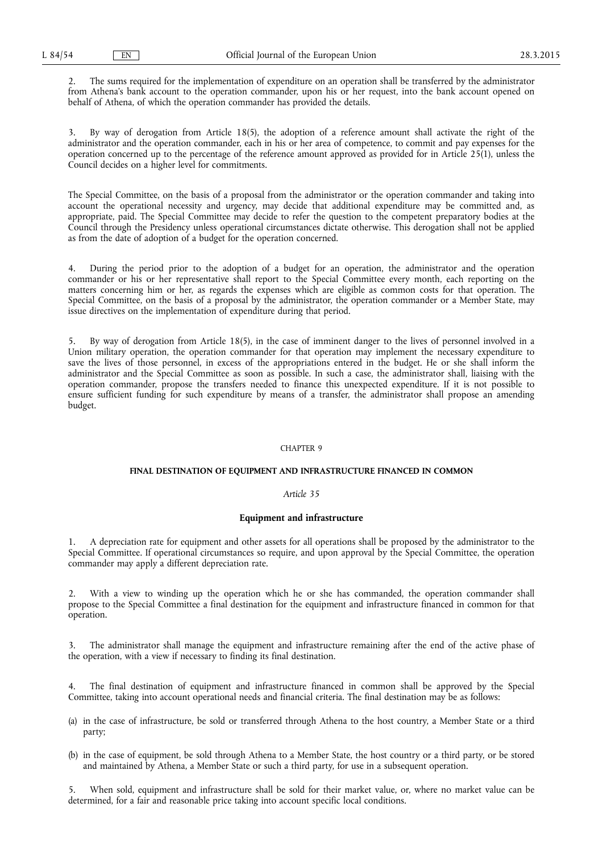2. The sums required for the implementation of expenditure on an operation shall be transferred by the administrator from Athena's bank account to the operation commander, upon his or her request, into the bank account opened on behalf of Athena, of which the operation commander has provided the details.

By way of derogation from Article 18(5), the adoption of a reference amount shall activate the right of the administrator and the operation commander, each in his or her area of competence, to commit and pay expenses for the operation concerned up to the percentage of the reference amount approved as provided for in Article 25(1), unless the Council decides on a higher level for commitments.

The Special Committee, on the basis of a proposal from the administrator or the operation commander and taking into account the operational necessity and urgency, may decide that additional expenditure may be committed and, as appropriate, paid. The Special Committee may decide to refer the question to the competent preparatory bodies at the Council through the Presidency unless operational circumstances dictate otherwise. This derogation shall not be applied as from the date of adoption of a budget for the operation concerned.

4. During the period prior to the adoption of a budget for an operation, the administrator and the operation commander or his or her representative shall report to the Special Committee every month, each reporting on the matters concerning him or her, as regards the expenses which are eligible as common costs for that operation. The Special Committee, on the basis of a proposal by the administrator, the operation commander or a Member State, may issue directives on the implementation of expenditure during that period.

5. By way of derogation from Article 18(5), in the case of imminent danger to the lives of personnel involved in a Union military operation, the operation commander for that operation may implement the necessary expenditure to save the lives of those personnel, in excess of the appropriations entered in the budget. He or she shall inform the administrator and the Special Committee as soon as possible. In such a case, the administrator shall, liaising with the operation commander, propose the transfers needed to finance this unexpected expenditure. If it is not possible to ensure sufficient funding for such expenditure by means of a transfer, the administrator shall propose an amending budget.

#### CHAPTER 9

### **FINAL DESTINATION OF EQUIPMENT AND INFRASTRUCTURE FINANCED IN COMMON**

#### *Article 35*

#### **Equipment and infrastructure**

1. A depreciation rate for equipment and other assets for all operations shall be proposed by the administrator to the Special Committee. If operational circumstances so require, and upon approval by the Special Committee, the operation commander may apply a different depreciation rate.

With a view to winding up the operation which he or she has commanded, the operation commander shall propose to the Special Committee a final destination for the equipment and infrastructure financed in common for that operation.

The administrator shall manage the equipment and infrastructure remaining after the end of the active phase of the operation, with a view if necessary to finding its final destination.

The final destination of equipment and infrastructure financed in common shall be approved by the Special Committee, taking into account operational needs and financial criteria. The final destination may be as follows:

- (a) in the case of infrastructure, be sold or transferred through Athena to the host country, a Member State or a third party;
- (b) in the case of equipment, be sold through Athena to a Member State, the host country or a third party, or be stored and maintained by Athena, a Member State or such a third party, for use in a subsequent operation.

When sold, equipment and infrastructure shall be sold for their market value, or, where no market value can be determined, for a fair and reasonable price taking into account specific local conditions.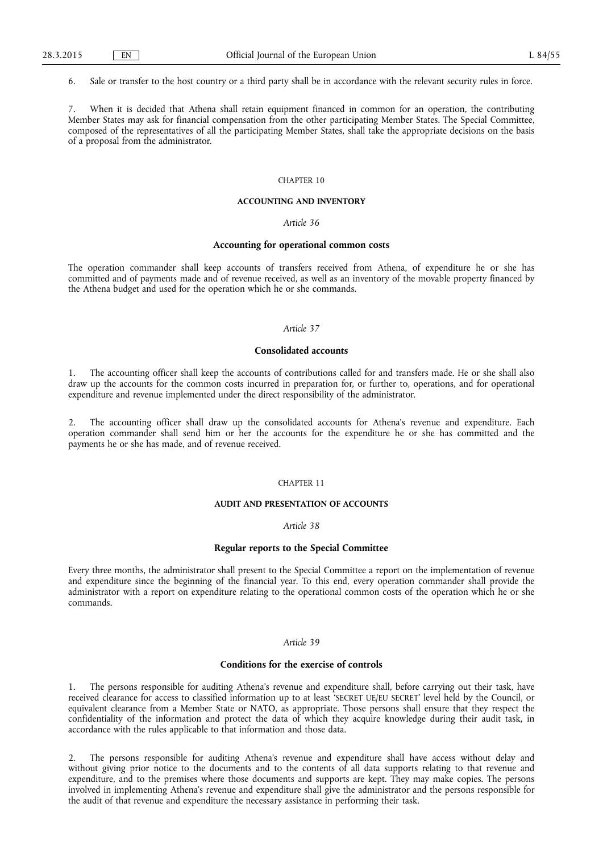6. Sale or transfer to the host country or a third party shall be in accordance with the relevant security rules in force.

7. When it is decided that Athena shall retain equipment financed in common for an operation, the contributing Member States may ask for financial compensation from the other participating Member States. The Special Committee, composed of the representatives of all the participating Member States, shall take the appropriate decisions on the basis of a proposal from the administrator.

### CHAPTER 10

#### **ACCOUNTING AND INVENTORY**

### *Article 36*

#### **Accounting for operational common costs**

The operation commander shall keep accounts of transfers received from Athena, of expenditure he or she has committed and of payments made and of revenue received, as well as an inventory of the movable property financed by the Athena budget and used for the operation which he or she commands.

### *Article 37*

### **Consolidated accounts**

The accounting officer shall keep the accounts of contributions called for and transfers made. He or she shall also draw up the accounts for the common costs incurred in preparation for, or further to, operations, and for operational expenditure and revenue implemented under the direct responsibility of the administrator.

2. The accounting officer shall draw up the consolidated accounts for Athena's revenue and expenditure. Each operation commander shall send him or her the accounts for the expenditure he or she has committed and the payments he or she has made, and of revenue received.

### CHAPTER 11

# **AUDIT AND PRESENTATION OF ACCOUNTS**

### *Article 38*

### **Regular reports to the Special Committee**

Every three months, the administrator shall present to the Special Committee a report on the implementation of revenue and expenditure since the beginning of the financial year. To this end, every operation commander shall provide the administrator with a report on expenditure relating to the operational common costs of the operation which he or she commands.

#### *Article 39*

### **Conditions for the exercise of controls**

1. The persons responsible for auditing Athena's revenue and expenditure shall, before carrying out their task, have received clearance for access to classified information up to at least 'SECRET UE/EU SECRET' level held by the Council, or equivalent clearance from a Member State or NATO, as appropriate. Those persons shall ensure that they respect the confidentiality of the information and protect the data of which they acquire knowledge during their audit task, in accordance with the rules applicable to that information and those data.

2. The persons responsible for auditing Athena's revenue and expenditure shall have access without delay and without giving prior notice to the documents and to the contents of all data supports relating to that revenue and expenditure, and to the premises where those documents and supports are kept. They may make copies. The persons involved in implementing Athena's revenue and expenditure shall give the administrator and the persons responsible for the audit of that revenue and expenditure the necessary assistance in performing their task.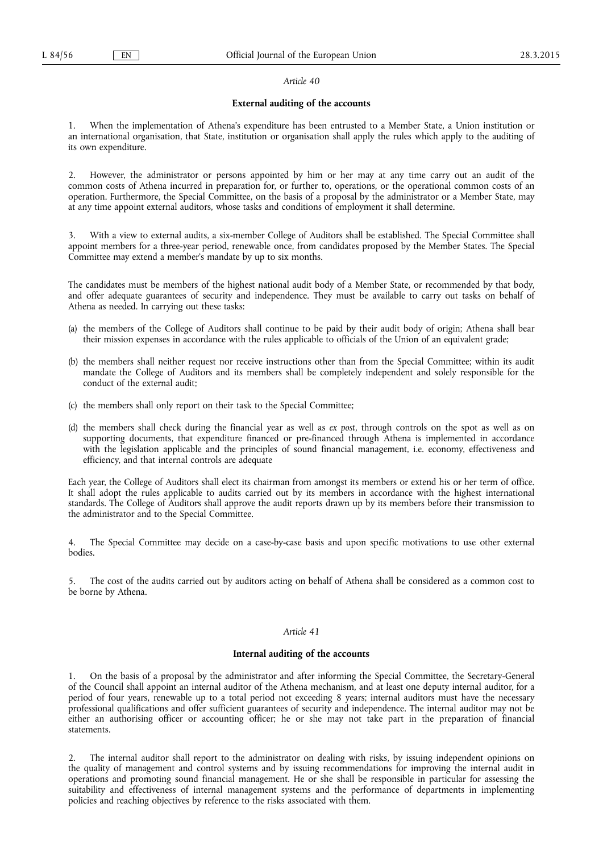### **External auditing of the accounts**

1. When the implementation of Athena's expenditure has been entrusted to a Member State, a Union institution or an international organisation, that State, institution or organisation shall apply the rules which apply to the auditing of its own expenditure.

2. However, the administrator or persons appointed by him or her may at any time carry out an audit of the common costs of Athena incurred in preparation for, or further to, operations, or the operational common costs of an operation. Furthermore, the Special Committee, on the basis of a proposal by the administrator or a Member State, may at any time appoint external auditors, whose tasks and conditions of employment it shall determine.

3. With a view to external audits, a six-member College of Auditors shall be established. The Special Committee shall appoint members for a three-year period, renewable once, from candidates proposed by the Member States. The Special Committee may extend a member's mandate by up to six months.

The candidates must be members of the highest national audit body of a Member State, or recommended by that body, and offer adequate guarantees of security and independence. They must be available to carry out tasks on behalf of Athena as needed. In carrying out these tasks:

- (a) the members of the College of Auditors shall continue to be paid by their audit body of origin; Athena shall bear their mission expenses in accordance with the rules applicable to officials of the Union of an equivalent grade;
- (b) the members shall neither request nor receive instructions other than from the Special Committee; within its audit mandate the College of Auditors and its members shall be completely independent and solely responsible for the conduct of the external audit;
- (c) the members shall only report on their task to the Special Committee;
- (d) the members shall check during the financial year as well as *ex post*, through controls on the spot as well as on supporting documents, that expenditure financed or pre-financed through Athena is implemented in accordance with the legislation applicable and the principles of sound financial management, i.e. economy, effectiveness and efficiency, and that internal controls are adequate

Each year, the College of Auditors shall elect its chairman from amongst its members or extend his or her term of office. It shall adopt the rules applicable to audits carried out by its members in accordance with the highest international standards. The College of Auditors shall approve the audit reports drawn up by its members before their transmission to the administrator and to the Special Committee.

4. The Special Committee may decide on a case-by-case basis and upon specific motivations to use other external bodies.

5. The cost of the audits carried out by auditors acting on behalf of Athena shall be considered as a common cost to be borne by Athena.

# *Article 41*

### **Internal auditing of the accounts**

1. On the basis of a proposal by the administrator and after informing the Special Committee, the Secretary-General of the Council shall appoint an internal auditor of the Athena mechanism, and at least one deputy internal auditor, for a period of four years, renewable up to a total period not exceeding 8 years; internal auditors must have the necessary professional qualifications and offer sufficient guarantees of security and independence. The internal auditor may not be either an authorising officer or accounting officer; he or she may not take part in the preparation of financial statements.

2. The internal auditor shall report to the administrator on dealing with risks, by issuing independent opinions on the quality of management and control systems and by issuing recommendations for improving the internal audit in operations and promoting sound financial management. He or she shall be responsible in particular for assessing the suitability and effectiveness of internal management systems and the performance of departments in implementing policies and reaching objectives by reference to the risks associated with them.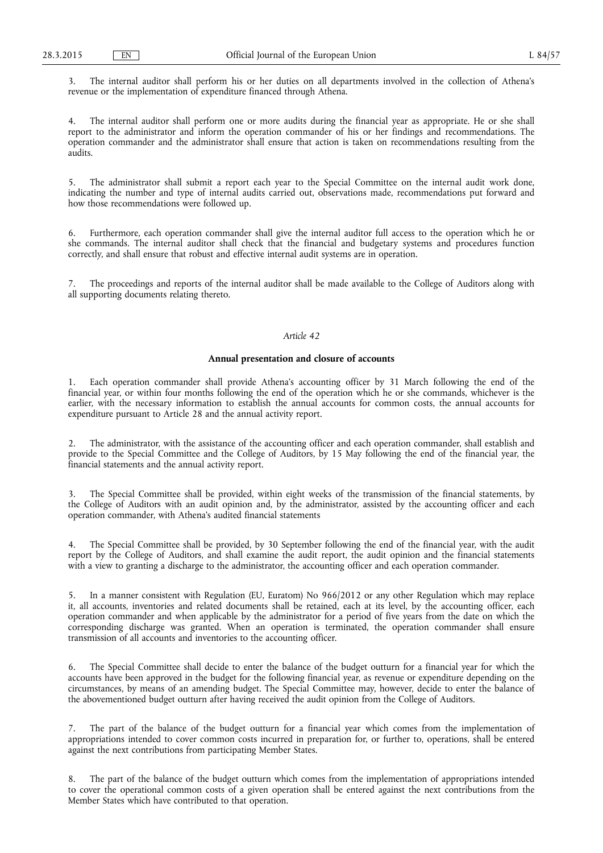3. The internal auditor shall perform his or her duties on all departments involved in the collection of Athena's revenue or the implementation of expenditure financed through Athena.

4. The internal auditor shall perform one or more audits during the financial year as appropriate. He or she shall report to the administrator and inform the operation commander of his or her findings and recommendations. The operation commander and the administrator shall ensure that action is taken on recommendations resulting from the audits.

5. The administrator shall submit a report each year to the Special Committee on the internal audit work done, indicating the number and type of internal audits carried out, observations made, recommendations put forward and how those recommendations were followed up.

6. Furthermore, each operation commander shall give the internal auditor full access to the operation which he or she commands. The internal auditor shall check that the financial and budgetary systems and procedures function correctly, and shall ensure that robust and effective internal audit systems are in operation.

7. The proceedings and reports of the internal auditor shall be made available to the College of Auditors along with all supporting documents relating thereto.

#### *Article 42*

# **Annual presentation and closure of accounts**

1. Each operation commander shall provide Athena's accounting officer by 31 March following the end of the financial year, or within four months following the end of the operation which he or she commands, whichever is the earlier, with the necessary information to establish the annual accounts for common costs, the annual accounts for expenditure pursuant to Article 28 and the annual activity report.

2. The administrator, with the assistance of the accounting officer and each operation commander, shall establish and provide to the Special Committee and the College of Auditors, by 15 May following the end of the financial year, the financial statements and the annual activity report.

3. The Special Committee shall be provided, within eight weeks of the transmission of the financial statements, by the College of Auditors with an audit opinion and, by the administrator, assisted by the accounting officer and each operation commander, with Athena's audited financial statements

4. The Special Committee shall be provided, by 30 September following the end of the financial year, with the audit report by the College of Auditors, and shall examine the audit report, the audit opinion and the financial statements with a view to granting a discharge to the administrator, the accounting officer and each operation commander.

5. In a manner consistent with Regulation (EU, Euratom) No 966/2012 or any other Regulation which may replace it, all accounts, inventories and related documents shall be retained, each at its level, by the accounting officer, each operation commander and when applicable by the administrator for a period of five years from the date on which the corresponding discharge was granted. When an operation is terminated, the operation commander shall ensure transmission of all accounts and inventories to the accounting officer.

6. The Special Committee shall decide to enter the balance of the budget outturn for a financial year for which the accounts have been approved in the budget for the following financial year, as revenue or expenditure depending on the circumstances, by means of an amending budget. The Special Committee may, however, decide to enter the balance of the abovementioned budget outturn after having received the audit opinion from the College of Auditors.

7. The part of the balance of the budget outturn for a financial year which comes from the implementation of appropriations intended to cover common costs incurred in preparation for, or further to, operations, shall be entered against the next contributions from participating Member States.

8. The part of the balance of the budget outturn which comes from the implementation of appropriations intended to cover the operational common costs of a given operation shall be entered against the next contributions from the Member States which have contributed to that operation.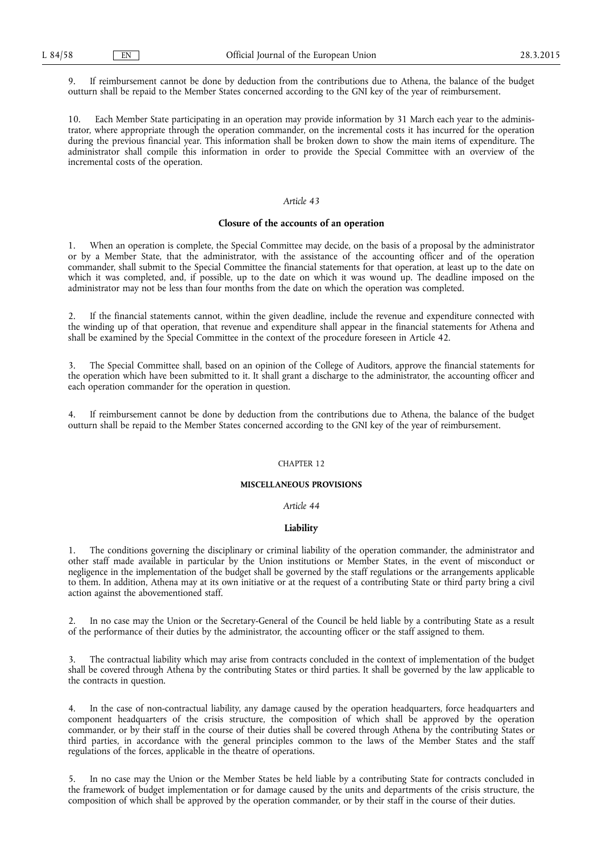9. If reimbursement cannot be done by deduction from the contributions due to Athena, the balance of the budget outturn shall be repaid to the Member States concerned according to the GNI key of the year of reimbursement.

10. Each Member State participating in an operation may provide information by 31 March each year to the administrator, where appropriate through the operation commander, on the incremental costs it has incurred for the operation during the previous financial year. This information shall be broken down to show the main items of expenditure. The administrator shall compile this information in order to provide the Special Committee with an overview of the incremental costs of the operation.

#### *Article 43*

#### **Closure of the accounts of an operation**

1. When an operation is complete, the Special Committee may decide, on the basis of a proposal by the administrator or by a Member State, that the administrator, with the assistance of the accounting officer and of the operation commander, shall submit to the Special Committee the financial statements for that operation, at least up to the date on which it was completed, and, if possible, up to the date on which it was wound up. The deadline imposed on the administrator may not be less than four months from the date on which the operation was completed.

2. If the financial statements cannot, within the given deadline, include the revenue and expenditure connected with the winding up of that operation, that revenue and expenditure shall appear in the financial statements for Athena and shall be examined by the Special Committee in the context of the procedure foreseen in Article 42.

3. The Special Committee shall, based on an opinion of the College of Auditors, approve the financial statements for the operation which have been submitted to it. It shall grant a discharge to the administrator, the accounting officer and each operation commander for the operation in question.

4. If reimbursement cannot be done by deduction from the contributions due to Athena, the balance of the budget outturn shall be repaid to the Member States concerned according to the GNI key of the year of reimbursement.

#### CHAPTER 12

# **MISCELLANEOUS PROVISIONS**

# *Article 44*

### **Liability**

1. The conditions governing the disciplinary or criminal liability of the operation commander, the administrator and other staff made available in particular by the Union institutions or Member States, in the event of misconduct or negligence in the implementation of the budget shall be governed by the staff regulations or the arrangements applicable to them. In addition, Athena may at its own initiative or at the request of a contributing State or third party bring a civil action against the abovementioned staff.

2. In no case may the Union or the Secretary-General of the Council be held liable by a contributing State as a result of the performance of their duties by the administrator, the accounting officer or the staff assigned to them.

3. The contractual liability which may arise from contracts concluded in the context of implementation of the budget shall be covered through Athena by the contributing States or third parties. It shall be governed by the law applicable to the contracts in question.

4. In the case of non-contractual liability, any damage caused by the operation headquarters, force headquarters and component headquarters of the crisis structure, the composition of which shall be approved by the operation commander, or by their staff in the course of their duties shall be covered through Athena by the contributing States or third parties, in accordance with the general principles common to the laws of the Member States and the staff regulations of the forces, applicable in the theatre of operations.

5. In no case may the Union or the Member States be held liable by a contributing State for contracts concluded in the framework of budget implementation or for damage caused by the units and departments of the crisis structure, the composition of which shall be approved by the operation commander, or by their staff in the course of their duties.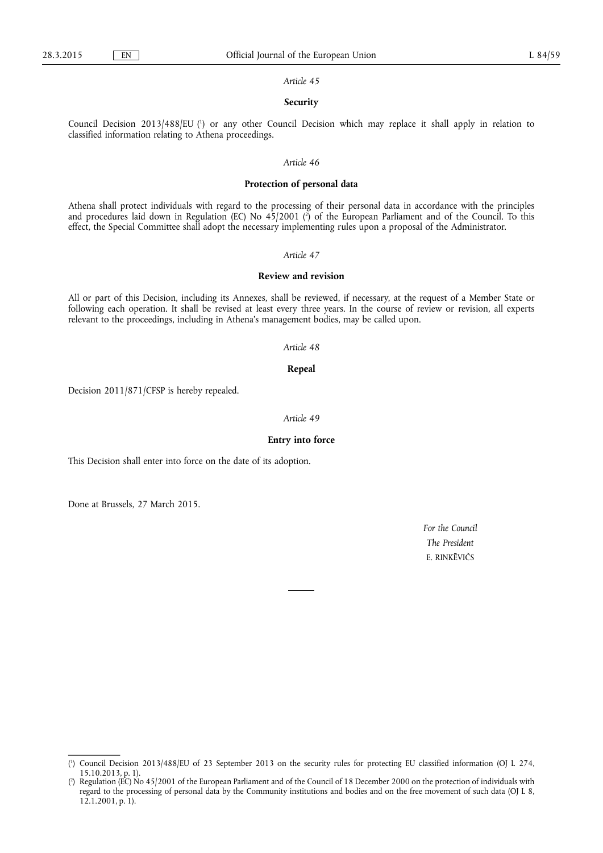### **Security**

Council Decision 2013/488/EU ( 1 ) or any other Council Decision which may replace it shall apply in relation to classified information relating to Athena proceedings.

# *Article 46*

#### **Protection of personal data**

Athena shall protect individuals with regard to the processing of their personal data in accordance with the principles and procedures laid down in Regulation (EC) No 45/2001 ( 2 ) of the European Parliament and of the Council. To this effect, the Special Committee shall adopt the necessary implementing rules upon a proposal of the Administrator.

#### *Article 47*

# **Review and revision**

All or part of this Decision, including its Annexes, shall be reviewed, if necessary, at the request of a Member State or following each operation. It shall be revised at least every three years. In the course of review or revision, all experts relevant to the proceedings, including in Athena's management bodies, may be called upon.

#### *Article 48*

#### **Repeal**

Decision 2011/871/CFSP is hereby repealed.

### *Article 49*

### **Entry into force**

This Decision shall enter into force on the date of its adoption.

Done at Brussels, 27 March 2015.

*For the Council The President*  E. RINKĒVIČS

<sup>(</sup> 1 ) Council Decision 2013/488/EU of 23 September 2013 on the security rules for protecting EU classified information (OJ L 274, 15.10.2013, p. 1).

<sup>(</sup> 2 ) Regulation (EC) No 45/2001 of the European Parliament and of the Council of 18 December 2000 on the protection of individuals with regard to the processing of personal data by the Community institutions and bodies and on the free movement of such data (OJ L 8, 12.1.2001, p. 1).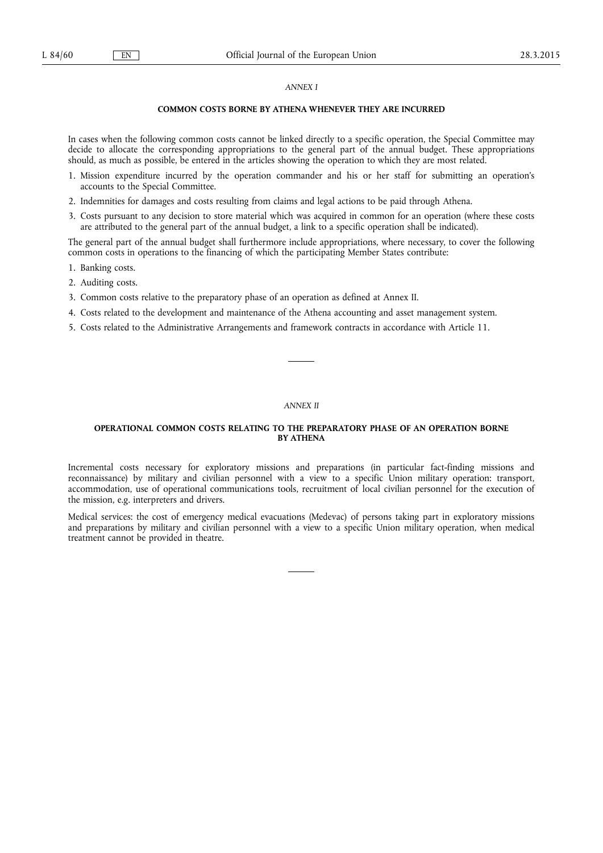# *ANNEX I*

# **COMMON COSTS BORNE BY ATHENA WHENEVER THEY ARE INCURRED**

In cases when the following common costs cannot be linked directly to a specific operation, the Special Committee may decide to allocate the corresponding appropriations to the general part of the annual budget. These appropriations should, as much as possible, be entered in the articles showing the operation to which they are most related.

- 1. Mission expenditure incurred by the operation commander and his or her staff for submitting an operation's accounts to the Special Committee.
- 2. Indemnities for damages and costs resulting from claims and legal actions to be paid through Athena.
- 3. Costs pursuant to any decision to store material which was acquired in common for an operation (where these costs are attributed to the general part of the annual budget, a link to a specific operation shall be indicated).

The general part of the annual budget shall furthermore include appropriations, where necessary, to cover the following common costs in operations to the financing of which the participating Member States contribute:

- 1. Banking costs.
- 2. Auditing costs.
- 3. Common costs relative to the preparatory phase of an operation as defined at Annex II.
- 4. Costs related to the development and maintenance of the Athena accounting and asset management system.
- 5. Costs related to the Administrative Arrangements and framework contracts in accordance with Article 11.

#### *ANNEX II*

### **OPERATIONAL COMMON COSTS RELATING TO THE PREPARATORY PHASE OF AN OPERATION BORNE BY ATHENA**

Incremental costs necessary for exploratory missions and preparations (in particular fact-finding missions and reconnaissance) by military and civilian personnel with a view to a specific Union military operation: transport, accommodation, use of operational communications tools, recruitment of local civilian personnel for the execution of the mission, e.g. interpreters and drivers.

Medical services: the cost of emergency medical evacuations (Medevac) of persons taking part in exploratory missions and preparations by military and civilian personnel with a view to a specific Union military operation, when medical treatment cannot be provided in theatre.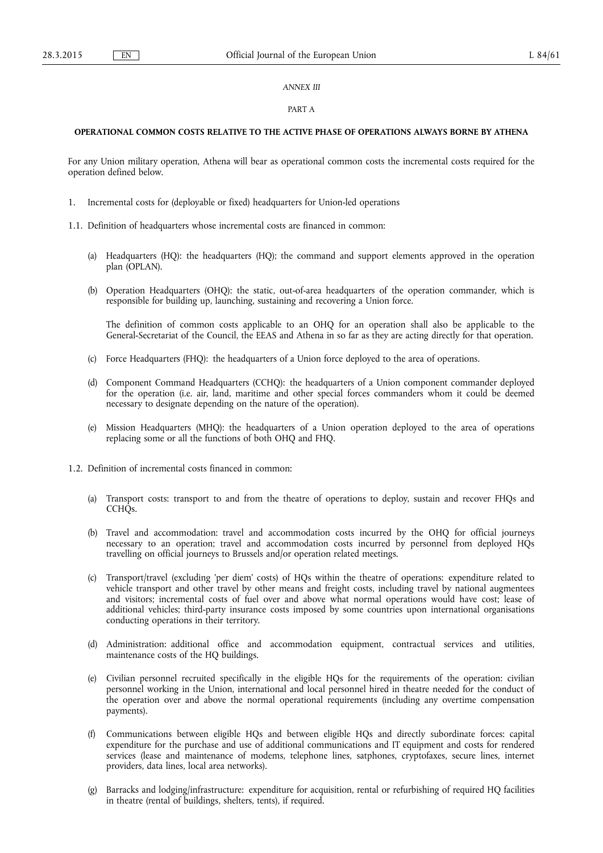### *ANNEX III*

#### PART A

### **OPERATIONAL COMMON COSTS RELATIVE TO THE ACTIVE PHASE OF OPERATIONS ALWAYS BORNE BY ATHENA**

For any Union military operation, Athena will bear as operational common costs the incremental costs required for the operation defined below.

- 1. Incremental costs for (deployable or fixed) headquarters for Union-led operations
- 1.1. Definition of headquarters whose incremental costs are financed in common:
	- (a) Headquarters (HQ): the headquarters (HQ); the command and support elements approved in the operation plan (OPLAN).
	- (b) Operation Headquarters (OHQ): the static, out-of-area headquarters of the operation commander, which is responsible for building up, launching, sustaining and recovering a Union force.

The definition of common costs applicable to an OHQ for an operation shall also be applicable to the General-Secretariat of the Council, the EEAS and Athena in so far as they are acting directly for that operation.

- (c) Force Headquarters (FHQ): the headquarters of a Union force deployed to the area of operations.
- (d) Component Command Headquarters (CCHQ): the headquarters of a Union component commander deployed for the operation (i.e. air, land, maritime and other special forces commanders whom it could be deemed necessary to designate depending on the nature of the operation).
- (e) Mission Headquarters (MHQ): the headquarters of a Union operation deployed to the area of operations replacing some or all the functions of both OHQ and FHQ.
- 1.2. Definition of incremental costs financed in common:
	- (a) Transport costs: transport to and from the theatre of operations to deploy, sustain and recover FHQs and CCH<sub>Os</sub>.
	- (b) Travel and accommodation: travel and accommodation costs incurred by the OHQ for official journeys necessary to an operation; travel and accommodation costs incurred by personnel from deployed HQs travelling on official journeys to Brussels and/or operation related meetings.
	- (c) Transport/travel (excluding 'per diem' costs) of HQs within the theatre of operations: expenditure related to vehicle transport and other travel by other means and freight costs, including travel by national augmentees and visitors; incremental costs of fuel over and above what normal operations would have cost; lease of additional vehicles; third-party insurance costs imposed by some countries upon international organisations conducting operations in their territory.
	- (d) Administration: additional office and accommodation equipment, contractual services and utilities, maintenance costs of the HQ buildings.
	- (e) Civilian personnel recruited specifically in the eligible HQs for the requirements of the operation: civilian personnel working in the Union, international and local personnel hired in theatre needed for the conduct of the operation over and above the normal operational requirements (including any overtime compensation payments).
	- (f) Communications between eligible HQs and between eligible HQs and directly subordinate forces: capital expenditure for the purchase and use of additional communications and IT equipment and costs for rendered services (lease and maintenance of modems, telephone lines, satphones, cryptofaxes, secure lines, internet providers, data lines, local area networks).
	- (g) Barracks and lodging/infrastructure: expenditure for acquisition, rental or refurbishing of required HQ facilities in theatre (rental of buildings, shelters, tents), if required.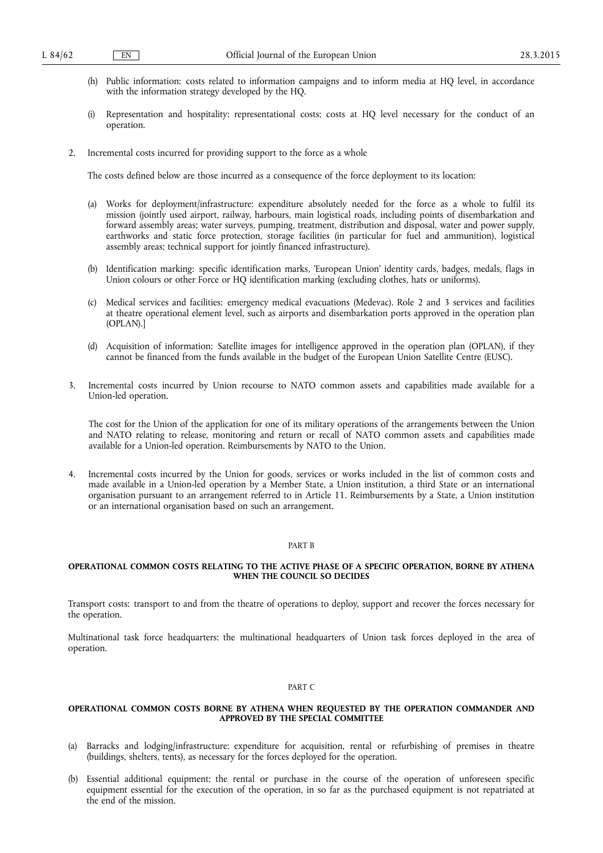- (h) Public information: costs related to information campaigns and to inform media at HQ level, in accordance with the information strategy developed by the HQ.
- (i) Representation and hospitality: representational costs; costs at HQ level necessary for the conduct of an operation.
- 2. Incremental costs incurred for providing support to the force as a whole

The costs defined below are those incurred as a consequence of the force deployment to its location:

- (a) Works for deployment/infrastructure: expenditure absolutely needed for the force as a whole to fulfil its mission (jointly used airport, railway, harbours, main logistical roads, including points of disembarkation and forward assembly areas; water surveys, pumping, treatment, distribution and disposal, water and power supply, earthworks and static force protection, storage facilities (in particular for fuel and ammunition), logistical assembly areas; technical support for jointly financed infrastructure).
- (b) Identification marking: specific identification marks, 'European Union' identity cards, badges, medals, flags in Union colours or other Force or HQ identification marking (excluding clothes, hats or uniforms).
- (c) Medical services and facilities: emergency medical evacuations (Medevac). Role 2 and 3 services and facilities at theatre operational element level, such as airports and disembarkation ports approved in the operation plan (OPLAN).]
- (d) Acquisition of information: Satellite images for intelligence approved in the operation plan (OPLAN), if they cannot be financed from the funds available in the budget of the European Union Satellite Centre (EUSC).
- 3. Incremental costs incurred by Union recourse to NATO common assets and capabilities made available for a Union-led operation.

The cost for the Union of the application for one of its military operations of the arrangements between the Union and NATO relating to release, monitoring and return or recall of NATO common assets and capabilities made available for a Union-led operation. Reimbursements by NATO to the Union.

4. Incremental costs incurred by the Union for goods, services or works included in the list of common costs and made available in a Union-led operation by a Member State, a Union institution, a third State or an international organisation pursuant to an arrangement referred to in Article 11. Reimbursements by a State, a Union institution or an international organisation based on such an arrangement.

#### PART B

### **OPERATIONAL COMMON COSTS RELATING TO THE ACTIVE PHASE OF A SPECIFIC OPERATION, BORNE BY ATHENA WHEN THE COUNCIL SO DECIDES**

Transport costs: transport to and from the theatre of operations to deploy, support and recover the forces necessary for the operation.

Multinational task force headquarters: the multinational headquarters of Union task forces deployed in the area of operation.

#### PART C

### **OPERATIONAL COMMON COSTS BORNE BY ATHENA WHEN REQUESTED BY THE OPERATION COMMANDER AND APPROVED BY THE SPECIAL COMMITTEE**

- (a) Barracks and lodging/infrastructure: expenditure for acquisition, rental or refurbishing of premises in theatre (buildings, shelters, tents), as necessary for the forces deployed for the operation.
- (b) Essential additional equipment: the rental or purchase in the course of the operation of unforeseen specific equipment essential for the execution of the operation, in so far as the purchased equipment is not repatriated at the end of the mission.